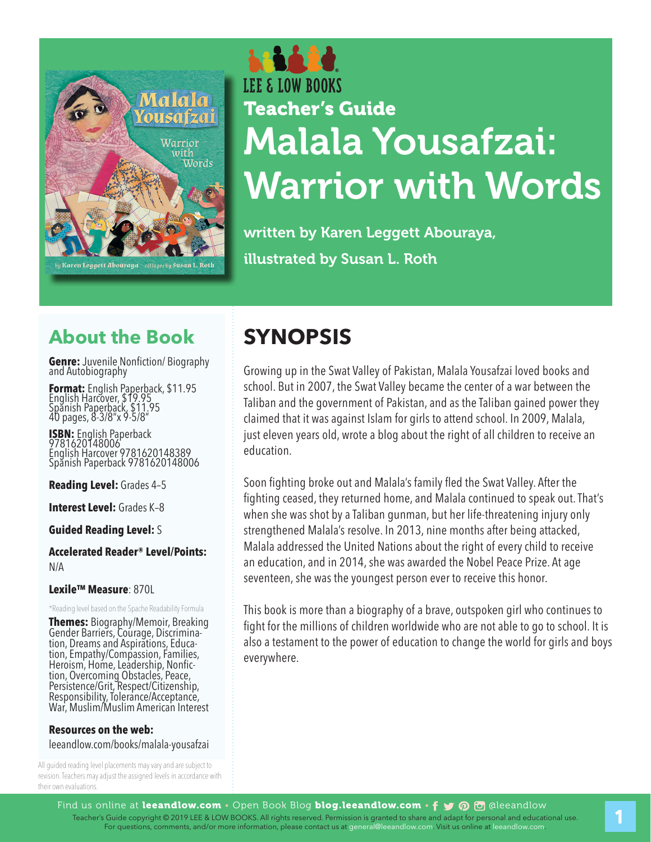

# 18442 **LEE & LOW BOOKS** Teacher's Guide Malala Yousafzai: Warrior with Words

written by Karen Leggett Abouraya, illustrated by Susan L. Roth

## **About the Book**

**Genre:** Juvenile Nonfiction/ Biography and Autobiography

**Format:** English Paperback, \$11.95<br>English Harcover, \$19.95 Spanish Paperback, \$11.95 40 pages, 8-3/8"x 9-5/8"

**ISBN:** English Paperback<br>9781620148006 English Harcover 9781620148389 Spanish Paperback 9781620148006

**Reading Level:** Grades 4–5

**Interest Level:** Grades K–8

**Guided Reading Level:** S

**Accelerated Reader® Level/Points:**  N/A

**Lexile™ Measure**: 870L

\*Reading level based on the Spache Readability Formula

**Themes:** Biography/Memoir, Breaking Gender Barriers, Courage, Discrimina-<br>tion, Dreams and Aspirations, Educa-Heroism, Home, Leadership, Nonfiction, Overcoming Obstacles, Peace, Persistence/Grit, Respect/Citizenship, Responsibility, Tolerance/Acceptance, War, Muslim/Muslim American Interest

**Resources on the web:**  leeandlow.com/books/malala-yousafzai

All guided reading level placements may vary and are subject to revision. Teachers may adjust the assigned levels in accordance with their own evaluations.

# **SYNOPSIS**

Growing up in the Swat Valley of Pakistan, Malala Yousafzai loved books and school. But in 2007, the Swat Valley became the center of a war between the Taliban and the government of Pakistan, and as the Taliban gained power they claimed that it was against Islam for girls to attend school. In 2009, Malala, just eleven years old, wrote a blog about the right of all children to receive an education.

Soon fighting broke out and Malala's family fled the Swat Valley. After the fighting ceased, they returned home, and Malala continued to speak out. That's when she was shot by a Taliban gunman, but her life-threatening injury only strengthened Malala's resolve. In 2013, nine months after being attacked, Malala addressed the United Nations about the right of every child to receive an education, and in 2014, she was awarded the Nobel Peace Prize. At age seventeen, she was the youngest person ever to receive this honor.

This book is more than a biography of a brave, outspoken girl who continues to fight for the millions of children worldwide who are not able to go to school. It is also a testament to the power of education to change the world for girls and boys everywhere.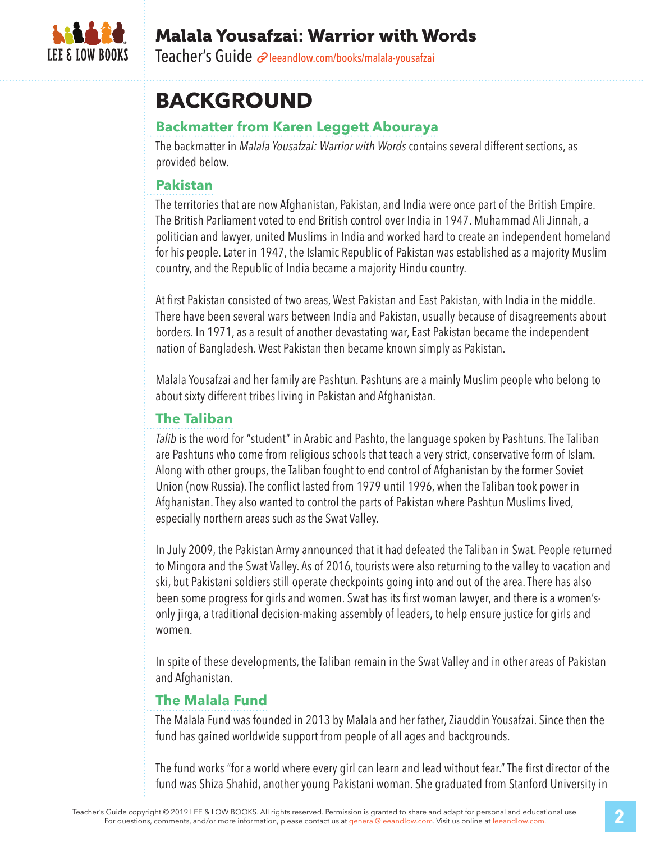

Teacher's Guide Pleeandlow.com/books/malala-yousafzai

## **BACKGROUND**

#### **Backmatter from Karen Leggett Abouraya**

The backmatter in *Malala Yousafzai: Warrior with Words* contains several different sections, as provided below.

#### **Pakistan**

The territories that are now Afghanistan, Pakistan, and India were once part of the British Empire. The British Parliament voted to end British control over India in 1947. Muhammad Ali Jinnah, a politician and lawyer, united Muslims in India and worked hard to create an independent homeland for his people. Later in 1947, the Islamic Republic of Pakistan was established as a majority Muslim country, and the Republic of India became a majority Hindu country.

At first Pakistan consisted of two areas, West Pakistan and East Pakistan, with India in the middle. There have been several wars between India and Pakistan, usually because of disagreements about borders. In 1971, as a result of another devastating war, East Pakistan became the independent nation of Bangladesh. West Pakistan then became known simply as Pakistan.

Malala Yousafzai and her family are Pashtun. Pashtuns are a mainly Muslim people who belong to about sixty different tribes living in Pakistan and Afghanistan.

#### **The Taliban**

*Talib* is the word for "student" in Arabic and Pashto, the language spoken by Pashtuns. The Taliban are Pashtuns who come from religious schools that teach a very strict, conservative form of Islam. Along with other groups, the Taliban fought to end control of Afghanistan by the former Soviet Union (now Russia). The conflict lasted from 1979 until 1996, when the Taliban took power in Afghanistan. They also wanted to control the parts of Pakistan where Pashtun Muslims lived, especially northern areas such as the Swat Valley.

In July 2009, the Pakistan Army announced that it had defeated the Taliban in Swat. People returned to Mingora and the Swat Valley. As of 2016, tourists were also returning to the valley to vacation and ski, but Pakistani soldiers still operate checkpoints going into and out of the area. There has also been some progress for girls and women. Swat has its first woman lawyer, and there is a women'sonly jirga, a traditional decision-making assembly of leaders, to help ensure justice for girls and women.

In spite of these developments, the Taliban remain in the Swat Valley and in other areas of Pakistan and Afghanistan.

#### **The Malala Fund**

The Malala Fund was founded in 2013 by Malala and her father, Ziauddin Yousafzai. Since then the fund has gained worldwide support from people of all ages and backgrounds.

The fund works "for a world where every girl can learn and lead without fear." The first director of the fund was Shiza Shahid, another young Pakistani woman. She graduated from Stanford University in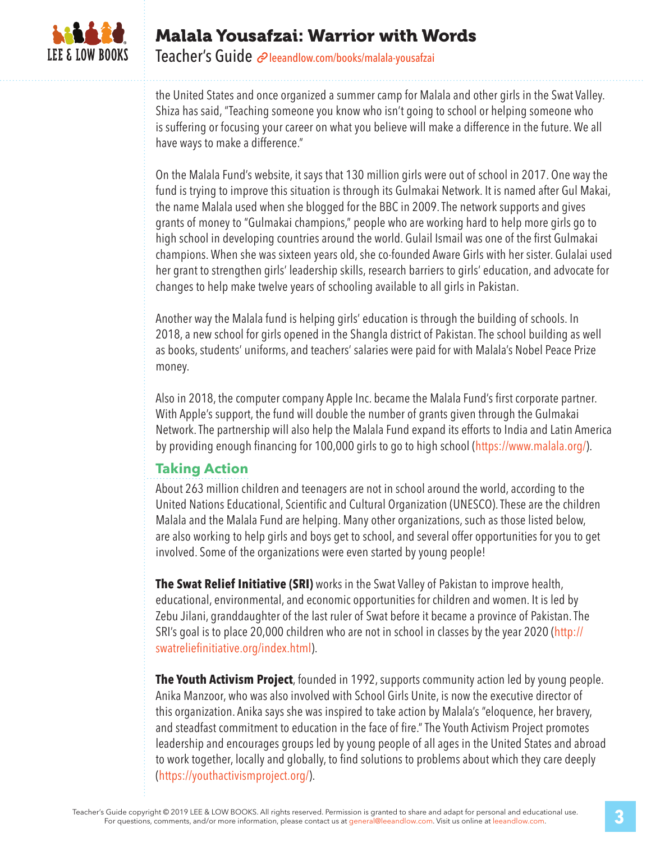

Teacher's Guide Pleeandlow.com/books/malala-yousafzai

the United States and once organized a summer camp for Malala and other girls in the Swat Valley. Shiza has said, "Teaching someone you know who isn't going to school or helping someone who is suffering or focusing your career on what you believe will make a difference in the future. We all have ways to make a difference."

On the Malala Fund's website, it says that 130 million girls were out of school in 2017. One way the fund is trying to improve this situation is through its Gulmakai Network. It is named after Gul Makai, the name Malala used when she blogged for the BBC in 2009. The network supports and gives grants of money to "Gulmakai champions," people who are working hard to help more girls go to high school in developing countries around the world. Gulail Ismail was one of the first Gulmakai champions. When she was sixteen years old, she co-founded Aware Girls with her sister. Gulalai used her grant to strengthen girls' leadership skills, research barriers to girls' education, and advocate for changes to help make twelve years of schooling available to all girls in Pakistan.

Another way the Malala fund is helping girls' education is through the building of schools. In 2018, a new school for girls opened in the Shangla district of Pakistan. The school building as well as books, students' uniforms, and teachers' salaries were paid for with Malala's Nobel Peace Prize money.

Also in 2018, the computer company Apple Inc. became the Malala Fund's first corporate partner. With Apple's support, the fund will double the number of grants given through the Gulmakai Network. The partnership will also help the Malala Fund expand its efforts to India and Latin America by providing enough financing for 100,000 girls to go to high school (https://www.malala.org/).

#### **Taking Action**

About 263 million children and teenagers are not in school around the world, according to the United Nations Educational, Scientific and Cultural Organization (UNESCO). These are the children Malala and the Malala Fund are helping. Many other organizations, such as those listed below, are also working to help girls and boys get to school, and several offer opportunities for you to get involved. Some of the organizations were even started by young people!

**The Swat Relief Initiative (SRI)** works in the Swat Valley of Pakistan to improve health, educational, environmental, and economic opportunities for children and women. It is led by Zebu Jilani, granddaughter of the last ruler of Swat before it became a province of Pakistan. The SRI's goal is to place 20,000 children who are not in school in classes by the year 2020 (http:// swatreliefinitiative.org/index.html).

**The Youth Activism Project**, founded in 1992, supports community action led by young people. Anika Manzoor, who was also involved with School Girls Unite, is now the executive director of this organization. Anika says she was inspired to take action by Malala's "eloquence, her bravery, and steadfast commitment to education in the face of fire." The Youth Activism Project promotes leadership and encourages groups led by young people of all ages in the United States and abroad to work together, locally and globally, to find solutions to problems about which they care deeply (https://youthactivismproject.org/).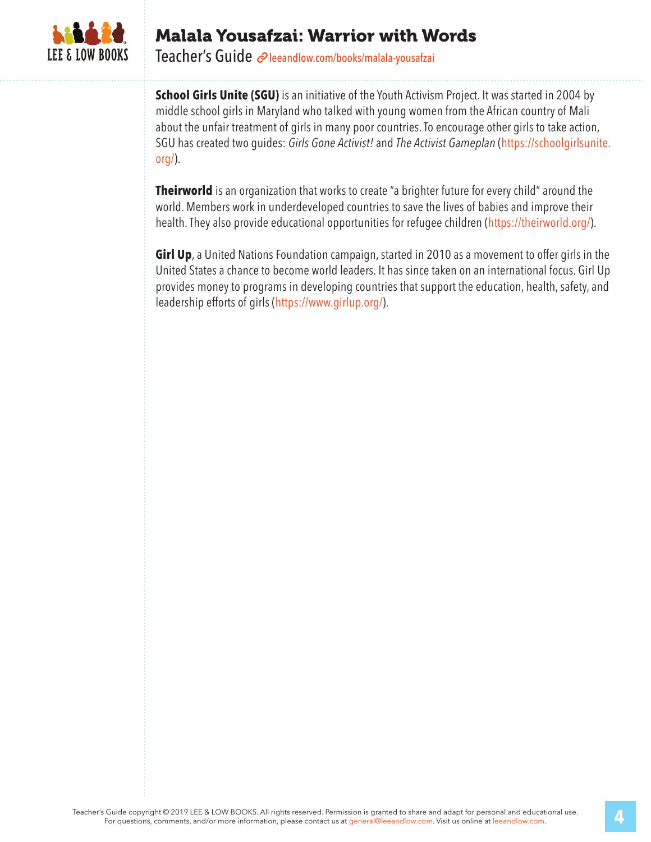

Teacher's Guide Pleeandlow.com/books/malala-yousafzai

**School Girls Unite (SGU)** is an initiative of the Youth Activism Project. It was started in 2004 by middle school girls in Maryland who talked with young women from the African country of Mali about the unfair treatment of girls in many poor countries. To encourage other girls to take action, SGU has created two guides: *Girls Gone Activist!* and *The Activist Gameplan* (https://schoolgirlsunite. org/).

**Theirworld** is an organization that works to create "a brighter future for every child" around the world. Members work in underdeveloped countries to save the lives of babies and improve their health. They also provide educational opportunities for refugee children (https://theirworld.org/).

**Girl Up**, a United Nations Foundation campaign, started in 2010 as a movement to offer girls in the United States a chance to become world leaders. It has since taken on an international focus. Girl Up provides money to programs in developing countries that support the education, health, safety, and leadership efforts of girls (https://www.girlup.org/).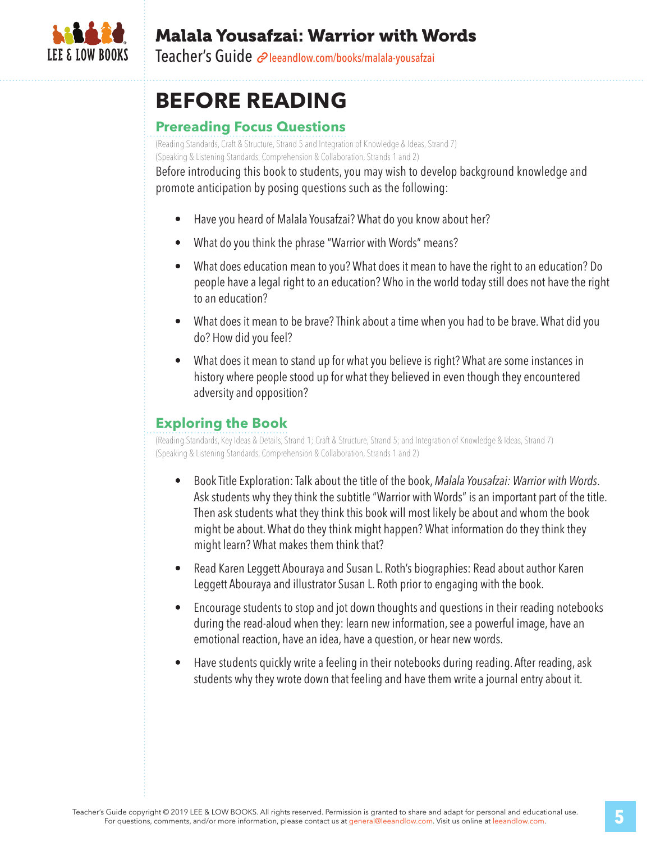

Teacher's Guide Pleeandlow.com/books/malala-yousafzai

## **BEFORE READING**

#### **Prereading Focus Questions**

(Reading Standards, Craft & Structure, Strand 5 and Integration of Knowledge & Ideas, Strand 7) (Speaking & Listening Standards, Comprehension & Collaboration, Strands 1 and 2)

Before introducing this book to students, you may wish to develop background knowledge and promote anticipation by posing questions such as the following:

- Have you heard of Malala Yousafzai? What do you know about her?
- What do you think the phrase "Warrior with Words" means?
- What does education mean to you? What does it mean to have the right to an education? Do people have a legal right to an education? Who in the world today still does not have the right to an education?
- What does it mean to be brave? Think about a time when you had to be brave. What did you do? How did you feel?
- What does it mean to stand up for what you believe is right? What are some instances in history where people stood up for what they believed in even though they encountered adversity and opposition?

### **Exploring the Book**

(Reading Standards, Key Ideas & Details, Strand 1; Craft & Structure, Strand 5; and Integration of Knowledge & Ideas, Strand 7) (Speaking & Listening Standards, Comprehension & Collaboration, Strands 1 and 2)

- Book Title Exploration: Talk about the title of the book, *Malala Yousafzai: Warrior with Words*. Ask students why they think the subtitle "Warrior with Words" is an important part of the title. Then ask students what they think this book will most likely be about and whom the book might be about. What do they think might happen? What information do they think they might learn? What makes them think that?
- Read Karen Leggett Abouraya and Susan L. Roth's biographies: Read about author Karen Leggett Abouraya and illustrator Susan L. Roth prior to engaging with the book.
- Encourage students to stop and jot down thoughts and questions in their reading notebooks during the read-aloud when they: learn new information, see a powerful image, have an emotional reaction, have an idea, have a question, or hear new words.
- Have students quickly write a feeling in their notebooks during reading. After reading, ask students why they wrote down that feeling and have them write a journal entry about it.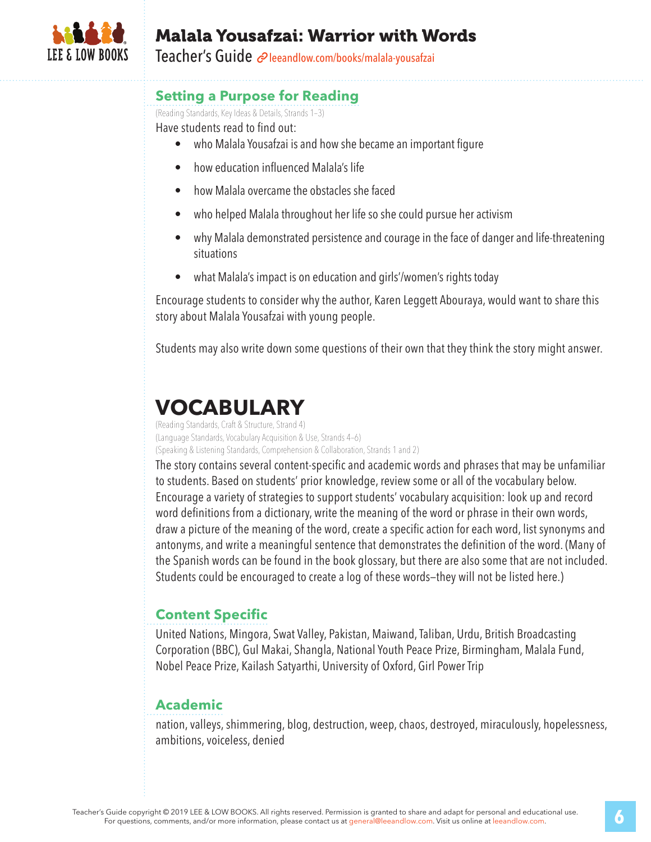

Teacher's Guide Pleeandlow.com/books/malala-yousafzai

#### **Setting a Purpose for Reading**

(Reading Standards, Key Ideas & Details, Strands 1–3)

Have students read to find out:

- who Malala Yousafzai is and how she became an important figure
- how education influenced Malala's life
- how Malala overcame the obstacles she faced
- who helped Malala throughout her life so she could pursue her activism
- why Malala demonstrated persistence and courage in the face of danger and life-threatening situations
- what Malala's impact is on education and girls'/women's rights today

Encourage students to consider why the author, Karen Leggett Abouraya, would want to share this story about Malala Yousafzai with young people.

Students may also write down some questions of their own that they think the story might answer.

# **VOCABULARY**

(Reading Standards, Craft & Structure, Strand 4) (Language Standards, Vocabulary Acquisition & Use, Strands 4–6) (Speaking & Listening Standards, Comprehension & Collaboration, Strands 1 and 2)

The story contains several content-specific and academic words and phrases that may be unfamiliar to students. Based on students' prior knowledge, review some or all of the vocabulary below. Encourage a variety of strategies to support students' vocabulary acquisition: look up and record word definitions from a dictionary, write the meaning of the word or phrase in their own words, draw a picture of the meaning of the word, create a specific action for each word, list synonyms and antonyms, and write a meaningful sentence that demonstrates the definition of the word. (Many of the Spanish words can be found in the book glossary, but there are also some that are not included. Students could be encouraged to create a log of these words—they will not be listed here.)

#### **Content Specific**

United Nations, Mingora, Swat Valley, Pakistan, Maiwand, Taliban, Urdu, British Broadcasting Corporation (BBC), Gul Makai, Shangla, National Youth Peace Prize, Birmingham, Malala Fund, Nobel Peace Prize, Kailash Satyarthi, University of Oxford, Girl Power Trip

#### **Academic**

nation, valleys, shimmering, blog, destruction, weep, chaos, destroyed, miraculously, hopelessness, ambitions, voiceless, denied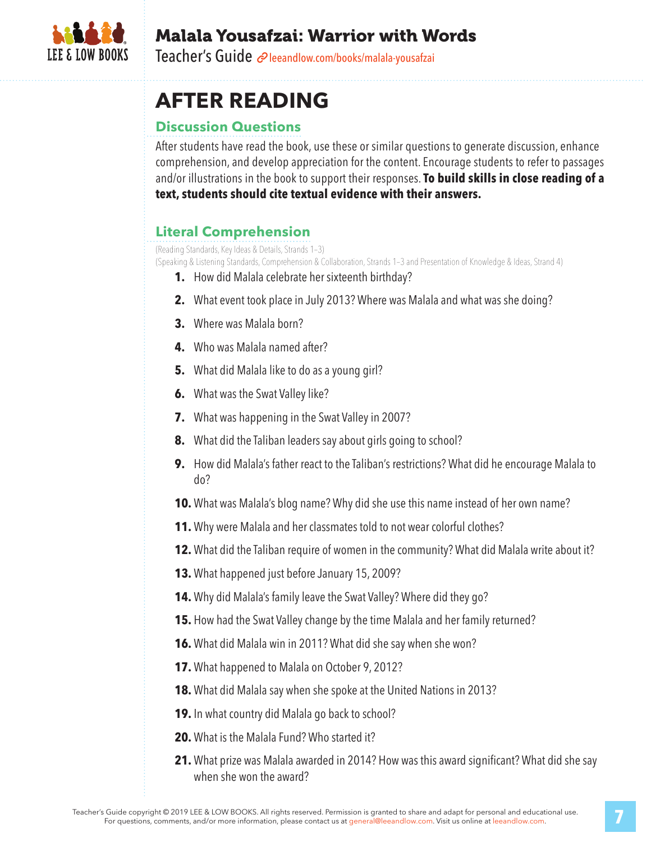

Teacher's Guide Pleeandlow.com/books/malala-yousafzai

# **AFTER READING**

#### **Discussion Questions**

After students have read the book, use these or similar questions to generate discussion, enhance comprehension, and develop appreciation for the content. Encourage students to refer to passages and/or illustrations in the book to support their responses. **To build skills in close reading of a text, students should cite textual evidence with their answers.**

### **Literal Comprehension**

(Reading Standards, Key Ideas & Details, Strands 1–3)

- (Speaking & Listening Standards, Comprehension & Collaboration, Strands 1–3 and Presentation of Knowledge & Ideas, Strand 4)
	- **1.** How did Malala celebrate her sixteenth birthday?
	- **2.** What event took place in July 2013? Where was Malala and what was she doing?
	- **3.** Where was Malala born?
	- **4.** Who was Malala named after?
	- **5.** What did Malala like to do as a young girl?
	- **6.** What was the Swat Valley like?
	- **7.** What was happening in the Swat Valley in 2007?
	- **8.** What did the Taliban leaders say about girls going to school?
	- **9.** How did Malala's father react to the Taliban's restrictions? What did he encourage Malala to do?
	- **10.** What was Malala's blog name? Why did she use this name instead of her own name?
	- **11.** Why were Malala and her classmates told to not wear colorful clothes?
	- **12.** What did the Taliban require of women in the community? What did Malala write about it?
	- **13.** What happened just before January 15, 2009?
	- **14.** Why did Malala's family leave the Swat Valley? Where did they go?
	- **15.** How had the Swat Valley change by the time Malala and her family returned?
	- **16.** What did Malala win in 2011? What did she say when she won?
	- **17.** What happened to Malala on October 9, 2012?
	- **18.** What did Malala say when she spoke at the United Nations in 2013?
	- **19.** In what country did Malala go back to school?
	- **20.** What is the Malala Fund? Who started it?
	- **21.** What prize was Malala awarded in 2014? How was this award significant? What did she say when she won the award?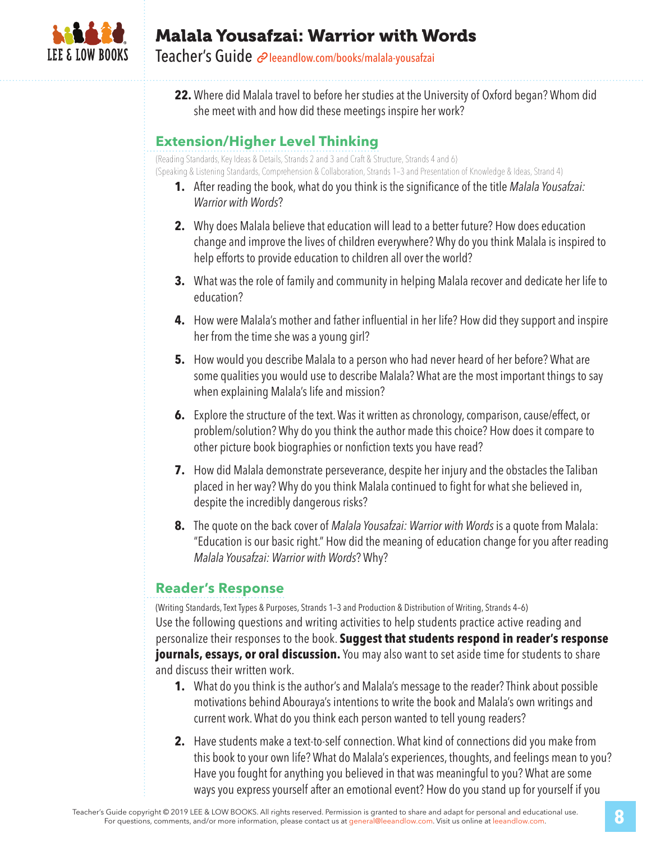

Teacher's Guide Pleeandlow.com/books/malala-yousafzai

**22.** Where did Malala travel to before her studies at the University of Oxford began? Whom did she meet with and how did these meetings inspire her work?

### **Extension/Higher Level Thinking**

(Reading Standards, Key Ideas & Details, Strands 2 and 3 and Craft & Structure, Strands 4 and 6)

(Speaking & Listening Standards, Comprehension & Collaboration, Strands 1–3 and Presentation of Knowledge & Ideas, Strand 4)

- **1.** After reading the book, what do you think is the significance of the title *Malala Yousafzai: Warrior with Words*?
- **2.** Why does Malala believe that education will lead to a better future? How does education change and improve the lives of children everywhere? Why do you think Malala is inspired to help efforts to provide education to children all over the world?
- **3.** What was the role of family and community in helping Malala recover and dedicate her life to education?
- **4.** How were Malala's mother and father influential in her life? How did they support and inspire her from the time she was a young girl?
- **5.** How would you describe Malala to a person who had never heard of her before? What are some qualities you would use to describe Malala? What are the most important things to say when explaining Malala's life and mission?
- **6.** Explore the structure of the text. Was it written as chronology, comparison, cause/effect, or problem/solution? Why do you think the author made this choice? How does it compare to other picture book biographies or nonfiction texts you have read?
- **7.** How did Malala demonstrate perseverance, despite her injury and the obstacles the Taliban placed in her way? Why do you think Malala continued to fight for what she believed in, despite the incredibly dangerous risks?
- **8.** The quote on the back cover of *Malala Yousafzai: Warrior with Words* is a quote from Malala: "Education is our basic right." How did the meaning of education change for you after reading *Malala Yousafzai: Warrior with Words*? Why?

### **Reader's Response**

(Writing Standards, Text Types & Purposes, Strands 1–3 and Production & Distribution of Writing, Strands 4–6) Use the following questions and writing activities to help students practice active reading and personalize their responses to the book. **Suggest that students respond in reader's response journals, essays, or oral discussion.** You may also want to set aside time for students to share and discuss their written work.

- **1.** What do you think is the author's and Malala's message to the reader? Think about possible motivations behind Abouraya's intentions to write the book and Malala's own writings and current work. What do you think each person wanted to tell young readers?
- **2.** Have students make a text-to-self connection. What kind of connections did you make from this book to your own life? What do Malala's experiences, thoughts, and feelings mean to you? Have you fought for anything you believed in that was meaningful to you? What are some ways you express yourself after an emotional event? How do you stand up for yourself if you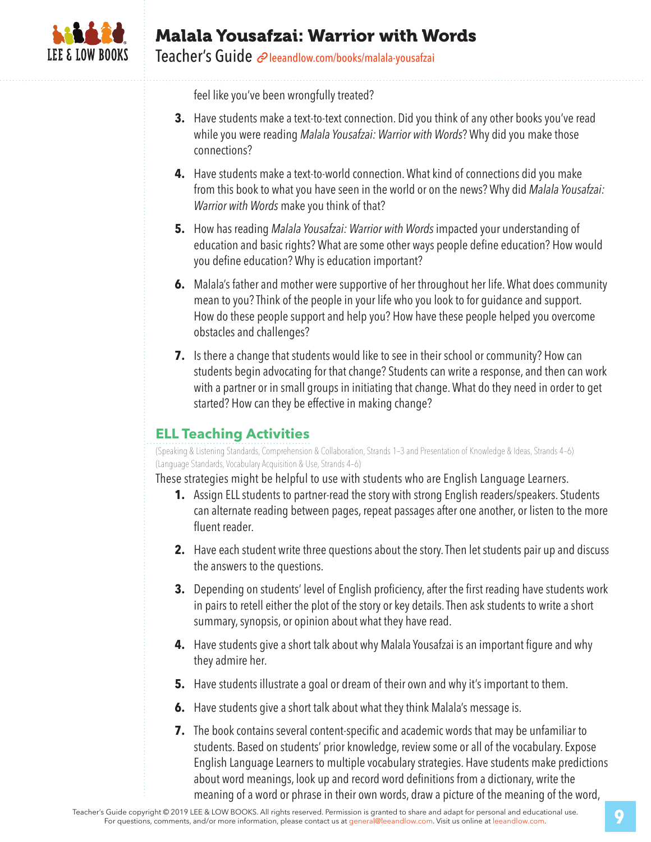

Teacher's Guide Pleeandlow.com/books/malala-yousafzai

feel like you've been wrongfully treated?

- **3.** Have students make a text-to-text connection. Did you think of any other books you've read while you were reading *Malala Yousafzai: Warrior with Words*? Why did you make those connections?
- **4.** Have students make a text-to-world connection. What kind of connections did you make from this book to what you have seen in the world or on the news? Why did *Malala Yousafzai: Warrior with Words* make you think of that?
- **5.** How has reading *Malala Yousafzai: Warrior with Words* impacted your understanding of education and basic rights? What are some other ways people define education? How would you define education? Why is education important?
- **6.** Malala's father and mother were supportive of her throughout her life. What does community mean to you? Think of the people in your life who you look to for guidance and support. How do these people support and help you? How have these people helped you overcome obstacles and challenges?
- **7.** Is there a change that students would like to see in their school or community? How can students begin advocating for that change? Students can write a response, and then can work with a partner or in small groups in initiating that change. What do they need in order to get started? How can they be effective in making change?

### **ELL Teaching Activities**

(Speaking & Listening Standards, Comprehension & Collaboration, Strands 1–3 and Presentation of Knowledge & Ideas, Strands 4–6) (Language Standards, Vocabulary Acquisition & Use, Strands 4–6)

These strategies might be helpful to use with students who are English Language Learners.

- **1.** Assign ELL students to partner-read the story with strong English readers/speakers. Students can alternate reading between pages, repeat passages after one another, or listen to the more fluent reader.
- **2.** Have each student write three questions about the story. Then let students pair up and discuss the answers to the questions.
- **3.** Depending on students' level of English proficiency, after the first reading have students work in pairs to retell either the plot of the story or key details. Then ask students to write a short summary, synopsis, or opinion about what they have read.
- **4.** Have students give a short talk about why Malala Yousafzai is an important figure and why they admire her.
- **5.** Have students illustrate a goal or dream of their own and why it's important to them.
- **6.** Have students give a short talk about what they think Malala's message is.
- **7.** The book contains several content-specific and academic words that may be unfamiliar to students. Based on students' prior knowledge, review some or all of the vocabulary. Expose English Language Learners to multiple vocabulary strategies. Have students make predictions about word meanings, look up and record word definitions from a dictionary, write the meaning of a word or phrase in their own words, draw a picture of the meaning of the word,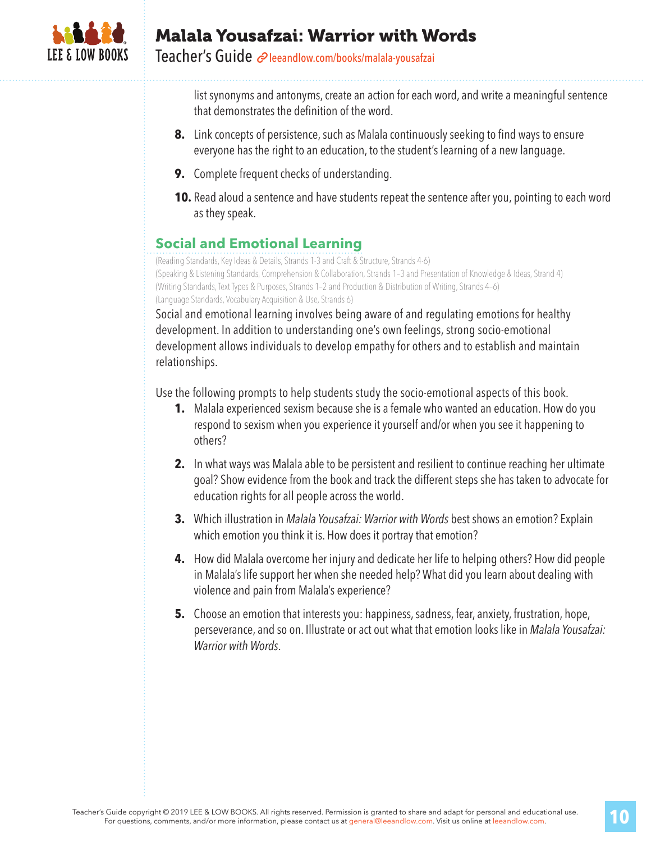

Teacher's Guide Pleeandlow.com/books/malala-yousafzai

list synonyms and antonyms, create an action for each word, and write a meaningful sentence that demonstrates the definition of the word.

- **8.** Link concepts of persistence, such as Malala continuously seeking to find ways to ensure everyone has the right to an education, to the student's learning of a new language.
- **9.** Complete frequent checks of understanding.
- **10.** Read aloud a sentence and have students repeat the sentence after you, pointing to each word as they speak.

### **Social and Emotional Learning**

(Reading Standards, Key Ideas & Details, Strands 1-3 and Craft & Structure, Strands 4-6) (Speaking & Listening Standards, Comprehension & Collaboration, Strands 1–3 and Presentation of Knowledge & Ideas, Strand 4) (Writing Standards, Text Types & Purposes, Strands 1–2 and Production & Distribution of Writing, Strands 4–6) (Language Standards, Vocabulary Acquisition & Use, Strands 6)

Social and emotional learning involves being aware of and regulating emotions for healthy development. In addition to understanding one's own feelings, strong socio-emotional development allows individuals to develop empathy for others and to establish and maintain relationships.

Use the following prompts to help students study the socio-emotional aspects of this book.

- **1.** Malala experienced sexism because she is a female who wanted an education. How do you respond to sexism when you experience it yourself and/or when you see it happening to others?
- **2.** In what ways was Malala able to be persistent and resilient to continue reaching her ultimate goal? Show evidence from the book and track the different steps she has taken to advocate for education rights for all people across the world.
- **3.** Which illustration in *Malala Yousafzai: Warrior with Words* best shows an emotion? Explain which emotion you think it is. How does it portray that emotion?
- **4.** How did Malala overcome her injury and dedicate her life to helping others? How did people in Malala's life support her when she needed help? What did you learn about dealing with violence and pain from Malala's experience?
- **5.** Choose an emotion that interests you: happiness, sadness, fear, anxiety, frustration, hope, perseverance, and so on. Illustrate or act out what that emotion looks like in *Malala Yousafzai: Warrior with Words*.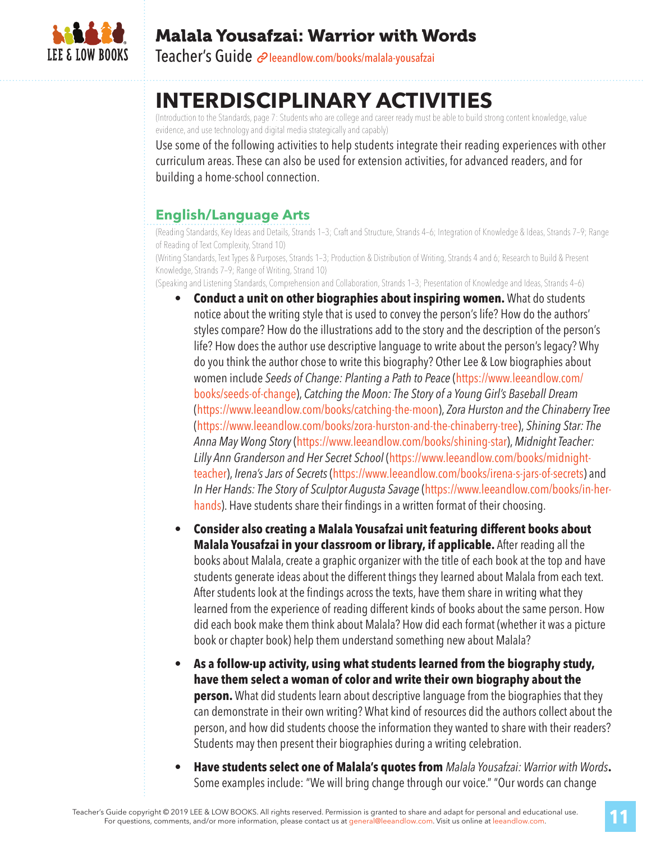

Teacher's Guide Pleeandlow.com/books/malala-yousafzai

## **INTERDISCIPLINARY ACTIVITIES**

(Introduction to the Standards, page 7: Students who are college and career ready must be able to build strong content knowledge, value evidence, and use technology and digital media strategically and capably)

Use some of the following activities to help students integrate their reading experiences with other curriculum areas. These can also be used for extension activities, for advanced readers, and for building a home-school connection.

### **English/Language Arts**

(Reading Standards, Key Ideas and Details, Strands 1–3; Craft and Structure, Strands 4–6; Integration of Knowledge & Ideas, Strands 7–9; Range of Reading of Text Complexity, Strand 10)

(Writing Standards, Text Types & Purposes, Strands 1–3; Production & Distribution of Writing, Strands 4 and 6; Research to Build & Present Knowledge, Strands 7–9; Range of Writing, Strand 10)

(Speaking and Listening Standards, Comprehension and Collaboration, Strands 1–3; Presentation of Knowledge and Ideas, Strands 4–6)

- **Conduct a unit on other biographies about inspiring women.** What do students notice about the writing style that is used to convey the person's life? How do the authors' styles compare? How do the illustrations add to the story and the description of the person's life? How does the author use descriptive language to write about the person's legacy? Why do you think the author chose to write this biography? Other Lee & Low biographies about women include *Seeds of Change: Planting a Path to Peace* (https://www.leeandlow.com/ books/seeds-of-change), *Catching the Moon: The Story of a Young Girl's Baseball Dream* (https://www.leeandlow.com/books/catching-the-moon), *Zora Hurston and the Chinaberry Tree* (https://www.leeandlow.com/books/zora-hurston-and-the-chinaberry-tree), *Shining Star: The Anna May Wong Story* (https://www.leeandlow.com/books/shining-star), *Midnight Teacher: Lilly Ann Granderson and Her Secret School* (https://www.leeandlow.com/books/midnightteacher), *Irena's Jars of Secrets* (https://www.leeandlow.com/books/irena-s-jars-of-secrets) and *In Her Hands: The Story of Sculptor Augusta Savage* (https://www.leeandlow.com/books/in-herhands). Have students share their findings in a written format of their choosing.
- **Consider also creating a Malala Yousafzai unit featuring different books about Malala Yousafzai in your classroom or library, if applicable.** After reading all the books about Malala, create a graphic organizer with the title of each book at the top and have students generate ideas about the different things they learned about Malala from each text. After students look at the findings across the texts, have them share in writing what they learned from the experience of reading different kinds of books about the same person. How did each book make them think about Malala? How did each format (whether it was a picture book or chapter book) help them understand something new about Malala?

• **As a follow-up activity, using what students learned from the biography study, have them select a woman of color and write their own biography about the person.** What did students learn about descriptive language from the biographies that they can demonstrate in their own writing? What kind of resources did the authors collect about the person, and how did students choose the information they wanted to share with their readers? Students may then present their biographies during a writing celebration.

• **Have students select one of Malala's quotes from** *Malala Yousafzai: Warrior with Words***.**  Some examples include: "We will bring change through our voice." "Our words can change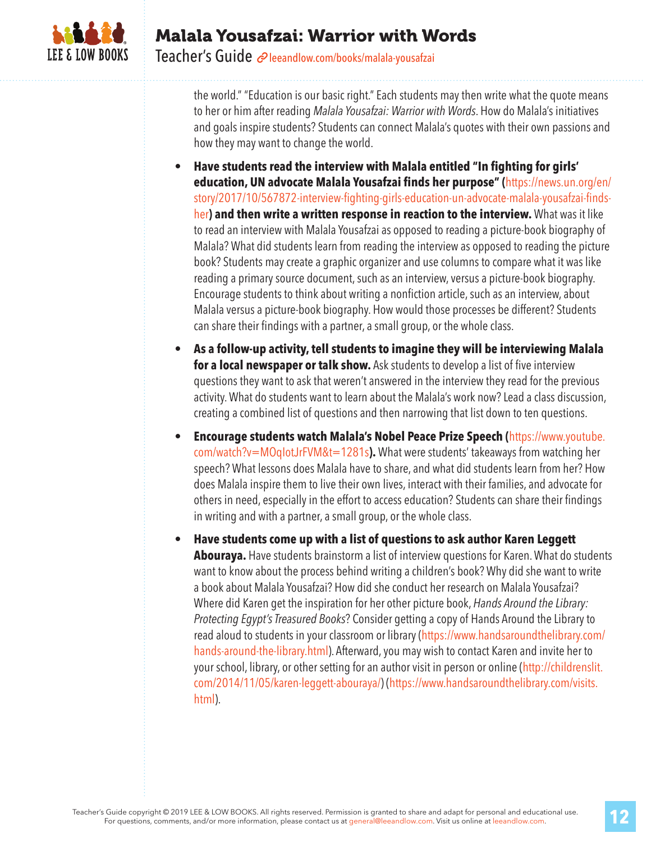

Teacher's Guide Pleeandlow.com/books/malala-yousafzai

the world." "Education is our basic right." Each students may then write what the quote means to her or him after reading *Malala Yousafzai: Warrior with Words*. How do Malala's initiatives and goals inspire students? Students can connect Malala's quotes with their own passions and how they may want to change the world.

- **Have students read the interview with Malala entitled "In fighting for girls' education, UN advocate Malala Yousafzai finds her purpose" (**https://news.un.org/en/ story/2017/10/567872-interview-fighting-girls-education-un-advocate-malala-yousafzai-findsher**) and then write a written response in reaction to the interview.** What was it like to read an interview with Malala Yousafzai as opposed to reading a picture-book biography of Malala? What did students learn from reading the interview as opposed to reading the picture book? Students may create a graphic organizer and use columns to compare what it was like reading a primary source document, such as an interview, versus a picture-book biography. Encourage students to think about writing a nonfiction article, such as an interview, about Malala versus a picture-book biography. How would those processes be different? Students can share their findings with a partner, a small group, or the whole class.
- **As a follow-up activity, tell students to imagine they will be interviewing Malala for a local newspaper or talk show.** Ask students to develop a list of five interview questions they want to ask that weren't answered in the interview they read for the previous activity. What do students want to learn about the Malala's work now? Lead a class discussion, creating a combined list of questions and then narrowing that list down to ten questions.
- **Encourage students watch Malala's Nobel Peace Prize Speech (**https://www.youtube. com/watch?v=MOqIotJrFVM&t=1281s**).** What were students' takeaways from watching her speech? What lessons does Malala have to share, and what did students learn from her? How does Malala inspire them to live their own lives, interact with their families, and advocate for others in need, especially in the effort to access education? Students can share their findings in writing and with a partner, a small group, or the whole class.
- **Have students come up with a list of questions to ask author Karen Leggett Abouraya.** Have students brainstorm a list of interview questions for Karen. What do students want to know about the process behind writing a children's book? Why did she want to write a book about Malala Yousafzai? How did she conduct her research on Malala Yousafzai? Where did Karen get the inspiration for her other picture book, *Hands Around the Library: Protecting Egypt's Treasured Books*? Consider getting a copy of Hands Around the Library to read aloud to students in your classroom or library (https://www.handsaroundthelibrary.com/ hands-around-the-library.html). Afterward, you may wish to contact Karen and invite her to your school, library, or other setting for an author visit in person or online (http://childrenslit. com/2014/11/05/karen-leggett-abouraya/) (https://www.handsaroundthelibrary.com/visits. html).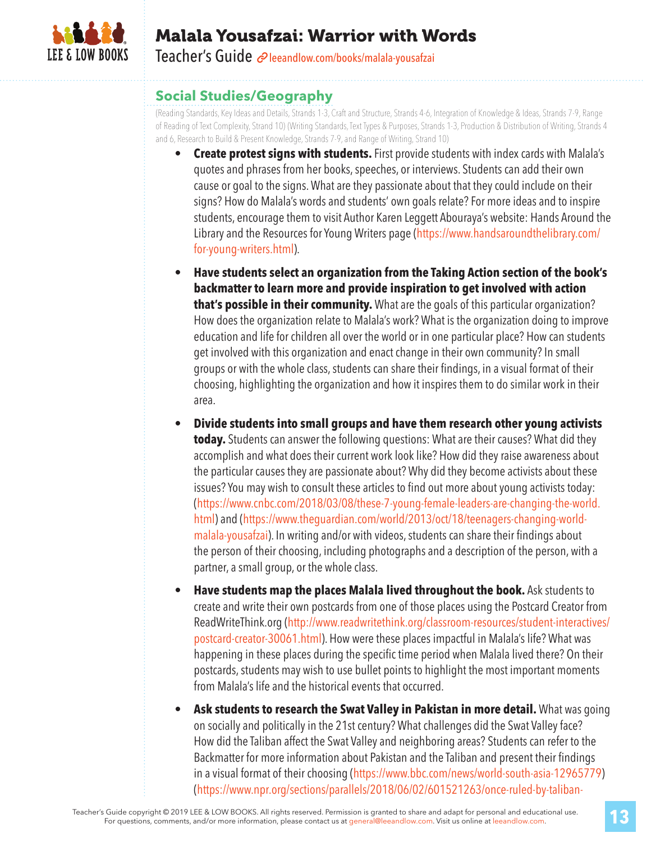

Teacher's Guide Pleeandlow.com/books/malala-yousafzai

#### **Social Studies/Geography**

(Reading Standards, Key Ideas and Details, Strands 1-3, Craft and Structure, Strands 4-6, Integration of Knowledge & Ideas, Strands 7-9, Range of Reading of Text Complexity, Strand 10) (Writing Standards, Text Types & Purposes, Strands 1-3, Production & Distribution of Writing, Strands 4 and 6, Research to Build & Present Knowledge, Strands 7-9, and Range of Writing, Strand 10)

- **Create protest signs with students.** First provide students with index cards with Malala's quotes and phrases from her books, speeches, or interviews. Students can add their own cause or goal to the signs. What are they passionate about that they could include on their signs? How do Malala's words and students' own goals relate? For more ideas and to inspire students, encourage them to visit Author Karen Leggett Abouraya's website: Hands Around the Library and the Resources for Young Writers page (https://www.handsaroundthelibrary.com/ for-young-writers.html).
- **Have students select an organization from the Taking Action section of the book's backmatter to learn more and provide inspiration to get involved with action that's possible in their community.** What are the goals of this particular organization? How does the organization relate to Malala's work? What is the organization doing to improve education and life for children all over the world or in one particular place? How can students get involved with this organization and enact change in their own community? In small groups or with the whole class, students can share their findings, in a visual format of their choosing, highlighting the organization and how it inspires them to do similar work in their area.
- **Divide students into small groups and have them research other young activists today.** Students can answer the following questions: What are their causes? What did they accomplish and what does their current work look like? How did they raise awareness about the particular causes they are passionate about? Why did they become activists about these issues? You may wish to consult these articles to find out more about young activists today: (https://www.cnbc.com/2018/03/08/these-7-young-female-leaders-are-changing-the-world. html) and (https://www.theguardian.com/world/2013/oct/18/teenagers-changing-worldmalala-yousafzai). In writing and/or with videos, students can share their findings about the person of their choosing, including photographs and a description of the person, with a partner, a small group, or the whole class.
- **Have students map the places Malala lived throughout the book.** Ask students to create and write their own postcards from one of those places using the Postcard Creator from ReadWriteThink.org (http://www.readwritethink.org/classroom-resources/student-interactives/ postcard-creator-30061.html). How were these places impactful in Malala's life? What was happening in these places during the specific time period when Malala lived there? On their postcards, students may wish to use bullet points to highlight the most important moments from Malala's life and the historical events that occurred.
- **Ask students to research the Swat Valley in Pakistan in more detail.** What was going on socially and politically in the 21st century? What challenges did the Swat Valley face? How did the Taliban affect the Swat Valley and neighboring areas? Students can refer to the Backmatter for more information about Pakistan and the Taliban and present their findings in a visual format of their choosing (https://www.bbc.com/news/world-south-asia-12965779) (https://www.npr.org/sections/parallels/2018/06/02/601521263/once-ruled-by-taliban-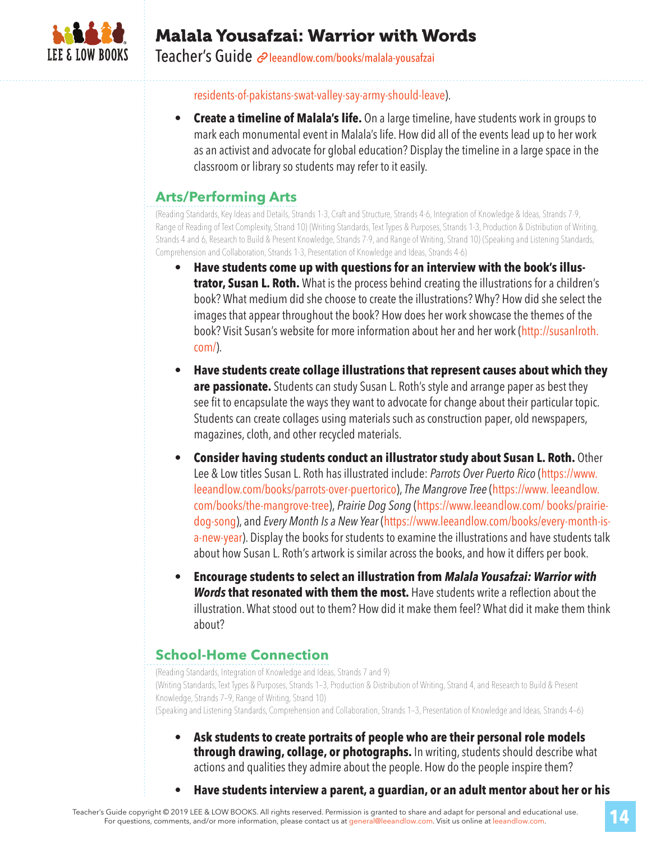

Teacher's Guide Pleeandlow.com/books/malala-yousafzai

#### residents-of-pakistans-swat-valley-say-army-should-leave).

• **Create a timeline of Malala's life.** On a large timeline, have students work in groups to mark each monumental event in Malala's life. How did all of the events lead up to her work as an activist and advocate for global education? Display the timeline in a large space in the classroom or library so students may refer to it easily.

### **Arts/Performing Arts**

(Reading Standards, Key Ideas and Details, Strands 1-3, Craft and Structure, Strands 4-6, Integration of Knowledge & Ideas, Strands 7-9, Range of Reading of Text Complexity, Strand 10) (Writing Standards, Text Types & Purposes, Strands 1-3, Production & Distribution of Writing, Strands 4 and 6, Research to Build & Present Knowledge, Strands 7-9, and Range of Writing, Strand 10) (Speaking and Listening Standards, Comprehension and Collaboration, Strands 1-3, Presentation of Knowledge and Ideas, Strands 4-6)

- **Have students come up with questions for an interview with the book's illustrator, Susan L. Roth.** What is the process behind creating the illustrations for a children's book? What medium did she choose to create the illustrations? Why? How did she select the images that appear throughout the book? How does her work showcase the themes of the book? Visit Susan's website for more information about her and her work (http://susanlroth. com/).
- **Have students create collage illustrations that represent causes about which they are passionate.** Students can study Susan L. Roth's style and arrange paper as best they see fit to encapsulate the ways they want to advocate for change about their particular topic. Students can create collages using materials such as construction paper, old newspapers, magazines, cloth, and other recycled materials.
- **Consider having students conduct an illustrator study about Susan L. Roth.** Other Lee & Low titles Susan L. Roth has illustrated include: *Parrots Over Puerto Rico* (https://www. leeandlow.com/books/parrots-over-puertorico), *The Mangrove Tree* (https://www. leeandlow. com/books/the-mangrove-tree), *Prairie Dog Song* (https://www.leeandlow.com/ books/prairiedog-song), and *Every Month Is a New Year* (https://www.leeandlow.com/books/every-month-isa-new-year). Display the books for students to examine the illustrations and have students talk about how Susan L. Roth's artwork is similar across the books, and how it differs per book.
- **Encourage students to select an illustration from** *Malala Yousafzai: Warrior with Words* **that resonated with them the most.** Have students write a reflection about the illustration. What stood out to them? How did it make them feel? What did it make them think about?

#### **School-Home Connection**

(Reading Standards, Integration of Knowledge and Ideas, Strands 7 and 9) (Writing Standards, Text Types & Purposes, Strands 1–3, Production & Distribution of Writing, Strand 4, and Research to Build & Present Knowledge, Strands 7–9, Range of Writing, Strand 10) (Speaking and Listening Standards, Comprehension and Collaboration, Strands 1–3, Presentation of Knowledge and Ideas, Strands 4–6)

- **Ask students to create portraits of people who are their personal role models through drawing, collage, or photographs.** In writing, students should describe what actions and qualities they admire about the people. How do the people inspire them?
- **Have students interview a parent, a guardian, or an adult mentor about her or his**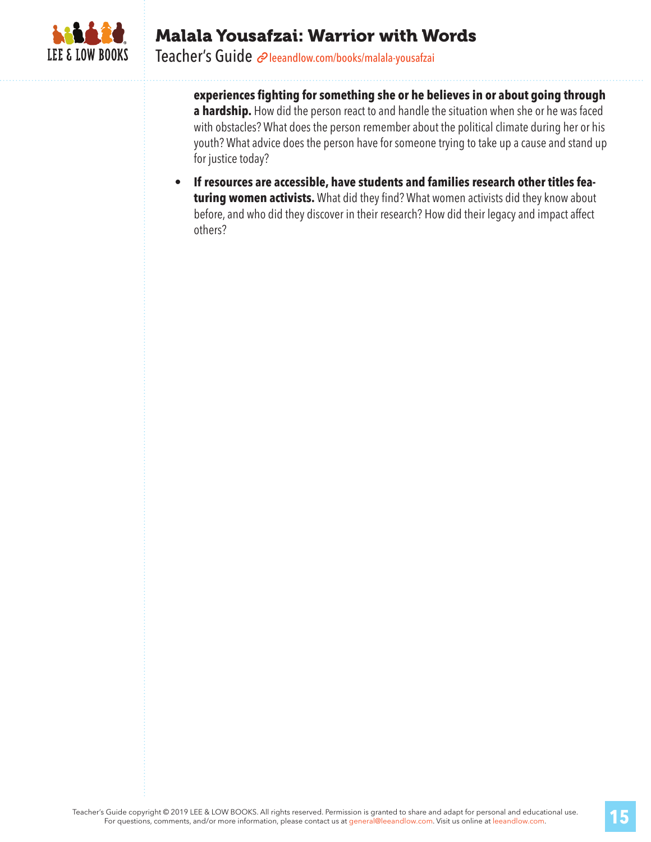

Teacher's Guide Pleeandlow.com/books/malala-yousafzai

**experiences fighting for something she or he believes in or about going through a hardship.** How did the person react to and handle the situation when she or he was faced with obstacles? What does the person remember about the political climate during her or his youth? What advice does the person have for someone trying to take up a cause and stand up for justice today?

• **If resources are accessible, have students and families research other titles featuring women activists.** What did they find? What women activists did they know about before, and who did they discover in their research? How did their legacy and impact affect others?